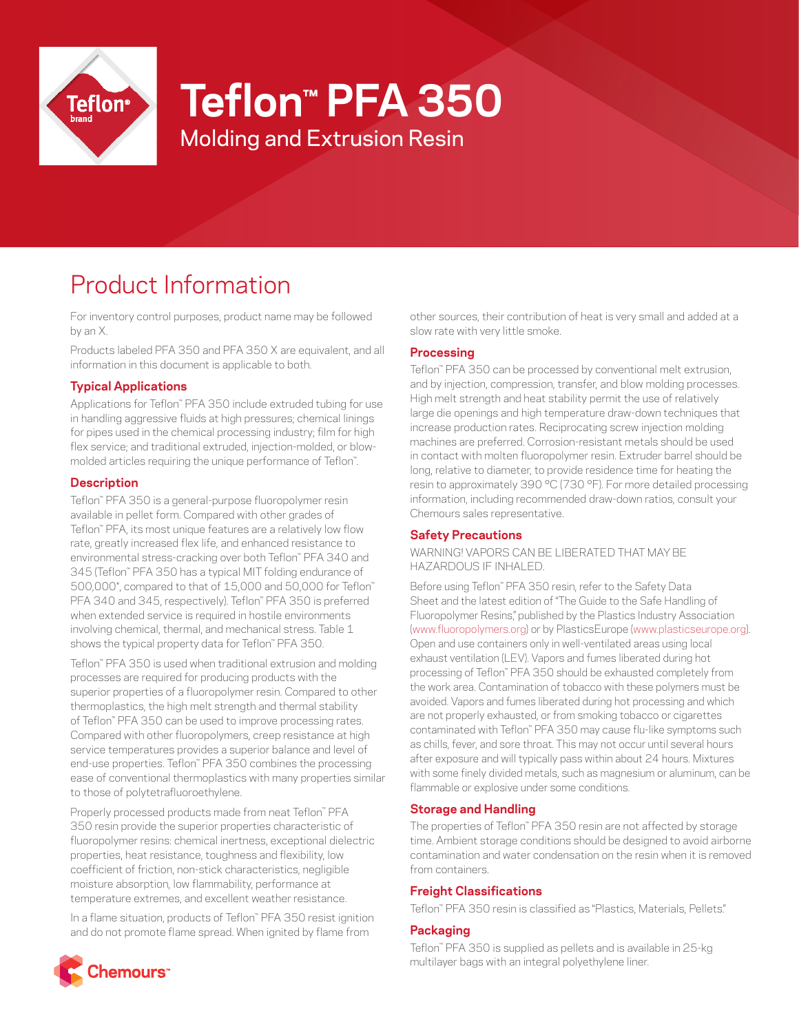

# **Teflon™ PFA 350**

Molding and Extrusion Resin

# Product Information

For inventory control purposes, product name may be followed by an X.

Products labeled PFA 350 and PFA 350 X are equivalent, and all information in this document is applicable to both.

# **Typical Applications**

Applications for Teflon™ PFA 350 include extruded tubing for use in handling aggressive fluids at high pressures; chemical linings for pipes used in the chemical processing industry; film for high flex service; and traditional extruded, injection-molded, or blowmolded articles requiring the unique performance of Teflon™ .

# **Description**

Teflon™ PFA 350 is a general-purpose fluoropolymer resin available in pellet form. Compared with other grades of Teflon™ PFA, its most unique features are a relatively low flow rate, greatly increased flex life, and enhanced resistance to environmental stress-cracking over both Teflon™ PFA 340 and 345 (Teflon™ PFA 350 has a typical MIT folding endurance of 500,000\*, compared to that of 15,000 and 50,000 for Teflon™ PFA 340 and 345, respectively). Teflon™ PFA 350 is preferred when extended service is required in hostile environments involving chemical, thermal, and mechanical stress. Table 1 shows the typical property data for Teflon™ PFA 350.

Teflon™ PFA 350 is used when traditional extrusion and molding processes are required for producing products with the superior properties of a fluoropolymer resin. Compared to other thermoplastics, the high melt strength and thermal stability of Teflon™ PFA 350 can be used to improve processing rates. Compared with other fluoropolymers, creep resistance at high service temperatures provides a superior balance and level of end-use properties. Teflon™ PFA 350 combines the processing ease of conventional thermoplastics with many properties similar to those of polytetrafluoroethylene.

Properly processed products made from neat Teflon™ PFA 350 resin provide the superior properties characteristic of fluoropolymer resins: chemical inertness, exceptional dielectric properties, heat resistance, toughness and flexibility, low coefficient of friction, non-stick characteristics, negligible moisture absorption, low flammability, performance at temperature extremes, and excellent weather resistance.

In a flame situation, products of Teflon™ PFA 350 resist ignition and do not promote flame spread. When ignited by flame from

other sources, their contribution of heat is very small and added at a slow rate with very little smoke.

# **Processing**

Teflon™ PFA 350 can be processed by conventional melt extrusion, and by injection, compression, transfer, and blow molding processes. High melt strength and heat stability permit the use of relatively large die openings and high temperature draw-down techniques that increase production rates. Reciprocating screw injection molding machines are preferred. Corrosion-resistant metals should be used in contact with molten fluoropolymer resin. Extruder barrel should be long, relative to diameter, to provide residence time for heating the resin to approximately 390 °C (730 °F). For more detailed processing information, including recommended draw-down ratios, consult your Chemours sales representative.

# **Safety Precautions**

WARNING! VAPORS CAN BE LIBERATED THAT MAY BE HAZARDOUS IF INHALED.

Before using Teflon™ PFA 350 resin, refer to the Safety Data Sheet and the latest edition of "The Guide to the Safe Handling of Fluoropolymer Resins," published by the Plastics Industry Association [\(www.fluoropolymers.org](http://www.fluoropolymers.org)) or by PlasticsEurope [\(www.plasticseurope.org\)](http://www.plasticseurope.org). Open and use containers only in well-ventilated areas using local exhaust ventilation (LEV). Vapors and fumes liberated during hot processing of Teflon™ PFA 350 should be exhausted completely from the work area. Contamination of tobacco with these polymers must be avoided. Vapors and fumes liberated during hot processing and which are not properly exhausted, or from smoking tobacco or cigarettes contaminated with Teflon™ PFA 350 may cause flu-like symptoms such as chills, fever, and sore throat. This may not occur until several hours after exposure and will typically pass within about 24 hours. Mixtures with some finely divided metals, such as magnesium or aluminum, can be flammable or explosive under some conditions.

# **Storage and Handling**

The properties of Teflon™ PFA 350 resin are not affected by storage time. Ambient storage conditions should be designed to avoid airborne contamination and water condensation on the resin when it is removed from containers.

# **Freight Classifications**

Teflon™ PFA 350 resin is classified as "Plastics, Materials, Pellets."

# **Packaging**

Teflon™ PFA 350 is supplied as pellets and is available in 25-kg multilayer bags with an integral polyethylene liner.